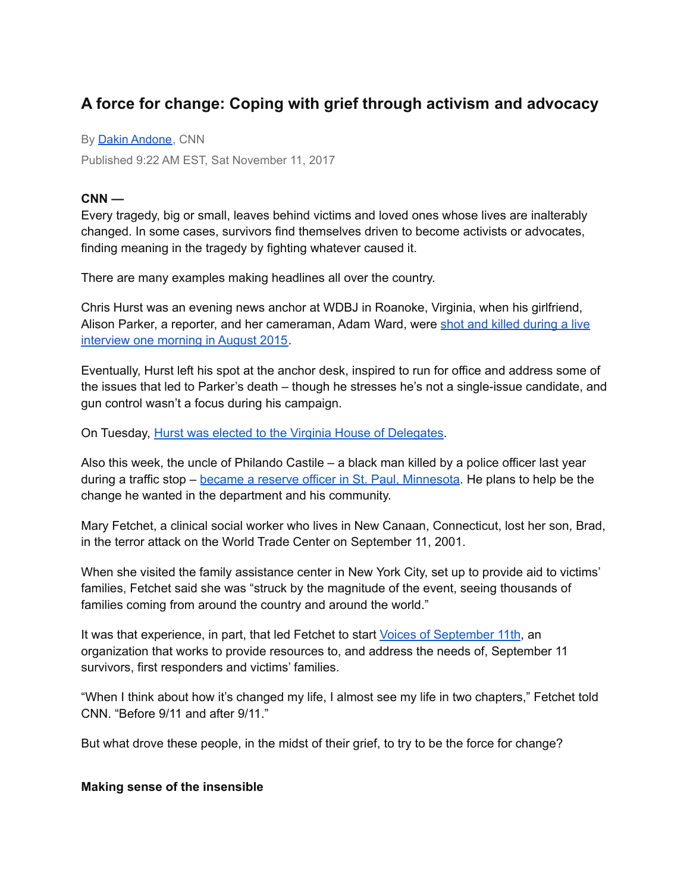# **A force for change: Coping with grief through activism and advocacy**

By [Dakin Andone](https://www.cnn.com/profiles/dakin-andone), CNN Published 9:22 AM EST, Sat November 11, 2017

### **CNN —**

Every tragedy, big or small, leaves behind victims and loved ones whose lives are inalterably changed. In some cases, survivors find themselves driven to become activists or advocates, finding meaning in the tragedy by fighting whatever caused it.

There are many examples making headlines all over the country.

Chris Hurst was an evening news anchor at WDBJ in Roanoke, Virginia, when his girlfriend, Alison Parker, a reporter, and her cameraman, Adam Ward, were shot and killed [during](http://www.cnn.com/2015/08/26/us/virginia-shooting-wdbj/index.html) a live [interview](http://www.cnn.com/2015/08/26/us/virginia-shooting-wdbj/index.html) one morning in August 2015.

Eventually, Hurst left his spot at the anchor desk, inspired to run for office and address some of the issues that led to Parker's death – though he stresses he's not a single-issue candidate, and gun control wasn't a focus during his campaign.

On Tuesday, Hurst was elected to the Virginia House of [Delegates.](http://www.cnn.com/2017/11/07/politics/chris-hurst-alison-parker-virginia-house/index.html)

Also this week, the uncle of Philando Castile – a black man killed by a police officer last year during a traffic stop – became a reserve officer in St. Paul, [Minnesota](http://www.cnn.com/2017/11/09/us/philando-castile-uncle-officer-trnd/index.html). He plans to help be the change he wanted in the department and his community.

Mary Fetchet, a clinical social worker who lives in New Canaan, Connecticut, lost her son, Brad, in the terror attack on the World Trade Center on September 11, 2001.

When she visited the family assistance center in New York City, set up to provide aid to victims' families, Fetchet said she was "struck by the magnitude of the event, seeing thousands of families coming from around the country and around the world."

It was that experience, in part, that led Fetchet to start Voices of [September](http://voicesofsept11.org/) 11th, an organization that works to provide resources to, and address the needs of, September 11 survivors, first responders and victims' families.

"When I think about how it's changed my life, I almost see my life in two chapters," Fetchet told CNN. "Before 9/11 and after 9/11."

But what drove these people, in the midst of their grief, to try to be the force for change?

#### **Making sense of the insensible**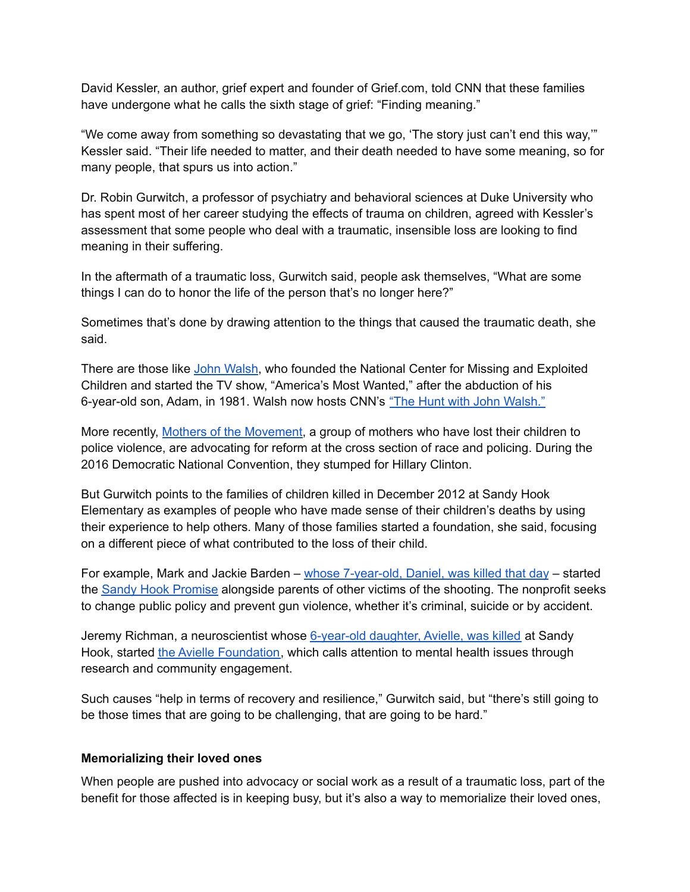David Kessler, an author, grief expert and founder of Grief.com, told CNN that these families have undergone what he calls the sixth stage of grief: "Finding meaning."

"We come away from something so devastating that we go, 'The story just can't end this way,'" Kessler said. "Their life needed to matter, and their death needed to have some meaning, so for many people, that spurs us into action."

Dr. Robin Gurwitch, a professor of psychiatry and behavioral sciences at Duke University who has spent most of her career studying the effects of trauma on children, agreed with Kessler's assessment that some people who deal with a traumatic, insensible loss are looking to find meaning in their suffering.

In the aftermath of a traumatic loss, Gurwitch said, people ask themselves, "What are some things I can do to honor the life of the person that's no longer here?"

Sometimes that's done by drawing attention to the things that caused the traumatic death, she said.

There are those like John [Walsh](http://www.cnn.com/2014/07/29/justice/john-walsh-five-things/index.html), who founded the National Center for Missing and Exploited Children and started the TV show, "America's Most Wanted," after the abduction of his 6-year-old son, Adam, in 1981. Walsh now hosts CNN's "The Hunt with John [Walsh."](http://www.cnn.com/shows/the-hunt-with-john-walsh)

More recently, Mothers of the [Movement,](http://www.cnn.com/2016/07/27/opinions/mothers-movement-ben-ghiat/index.html) a group of mothers who have lost their children to police violence, are advocating for reform at the cross section of race and policing. During the 2016 Democratic National Convention, they stumped for Hillary Clinton.

But Gurwitch points to the families of children killed in December 2012 at Sandy Hook Elementary as examples of people who have made sense of their children's deaths by using their experience to help others. Many of those families started a foundation, she said, focusing on a different piece of what contributed to the loss of their child.

For example, Mark and Jackie Barden – whose [7-year-old,](http://www.cnn.com/2016/12/14/us/sandy-hook-anniversary-trnd/index.html) Daniel, was killed that day – started the Sandy Hook [Promise](https://www.sandyhookpromise.org/) alongside parents of other victims of the shooting. The nonprofit seeks to change public policy and prevent gun violence, whether it's criminal, suicide or by accident.

Jeremy Richman, a neuroscientist whose [6-year-old](http://www.cnn.com/2013/12/14/us/newtown-sandy-hook-shooting-anniversary/index.html) daughter, Avielle, was killed at Sandy Hook, started the Avielle [Foundation](https://aviellefoundation.org/), which calls attention to mental health issues through research and community engagement.

Such causes "help in terms of recovery and resilience," Gurwitch said, but "there's still going to be those times that are going to be challenging, that are going to be hard."

### **Memorializing their loved ones**

When people are pushed into advocacy or social work as a result of a traumatic loss, part of the benefit for those affected is in keeping busy, but it's also a way to memorialize their loved ones,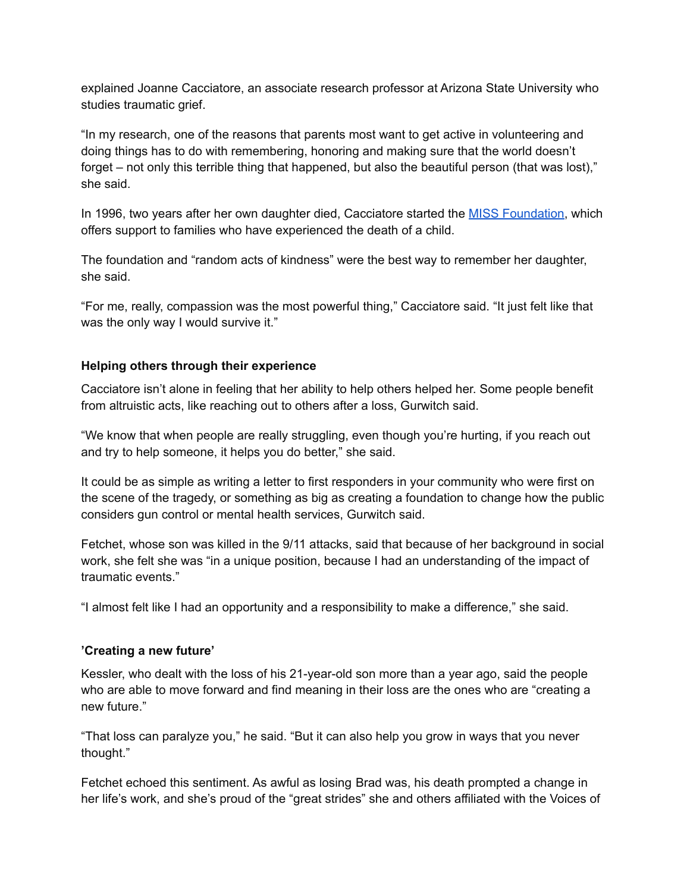explained Joanne Cacciatore, an associate research professor at Arizona State University who studies traumatic grief.

"In my research, one of the reasons that parents most want to get active in volunteering and doing things has to do with remembering, honoring and making sure that the world doesn't forget – not only this terrible thing that happened, but also the beautiful person (that was lost)," she said.

In 1996, two years after her own daughter died, Cacciatore started the MISS [Foundation,](https://missfoundation.org/) which offers support to families who have experienced the death of a child.

The foundation and "random acts of kindness" were the best way to remember her daughter, she said.

"For me, really, compassion was the most powerful thing," Cacciatore said. "It just felt like that was the only way I would survive it."

## **Helping others through their experience**

Cacciatore isn't alone in feeling that her ability to help others helped her. Some people benefit from altruistic acts, like reaching out to others after a loss, Gurwitch said.

"We know that when people are really struggling, even though you're hurting, if you reach out and try to help someone, it helps you do better," she said.

It could be as simple as writing a letter to first responders in your community who were first on the scene of the tragedy, or something as big as creating a foundation to change how the public considers gun control or mental health services, Gurwitch said.

Fetchet, whose son was killed in the 9/11 attacks, said that because of her background in social work, she felt she was "in a unique position, because I had an understanding of the impact of traumatic events."

"I almost felt like I had an opportunity and a responsibility to make a difference," she said.

### **'Creating a new future'**

Kessler, who dealt with the loss of his 21-year-old son more than a year ago, said the people who are able to move forward and find meaning in their loss are the ones who are "creating a new future."

"That loss can paralyze you," he said. "But it can also help you grow in ways that you never thought."

Fetchet echoed this sentiment. As awful as losing Brad was, his death prompted a change in her life's work, and she's proud of the "great strides" she and others affiliated with the Voices of